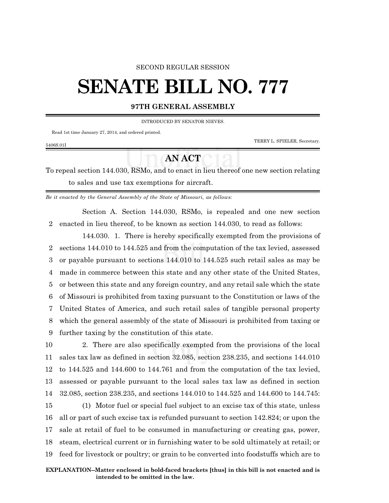#### SECOND REGULAR SESSION

# **SENATE BILL NO. 777**

### **97TH GENERAL ASSEMBLY**

INTRODUCED BY SENATOR NIEVES.

Read 1st time January 27, 2014, and ordered printed.

TERRY L. SPIELER, Secretary.

#### 5406S.01I

## **AN ACT**

To repeal section 144.030, RSMo, and to enact in lieu thereof one new section relating to sales and use tax exemptions for aircraft.

*Be it enacted by the General Assembly of the State of Missouri, as follows:*

Section A. Section 144.030, RSMo, is repealed and one new section 2 enacted in lieu thereof, to be known as section 144.030, to read as follows:

144.030. 1. There is hereby specifically exempted from the provisions of sections 144.010 to 144.525 and from the computation of the tax levied, assessed or payable pursuant to sections 144.010 to 144.525 such retail sales as may be made in commerce between this state and any other state of the United States, or between this state and any foreign country, and any retail sale which the state of Missouri is prohibited from taxing pursuant to the Constitution or laws of the United States of America, and such retail sales of tangible personal property which the general assembly of the state of Missouri is prohibited from taxing or further taxing by the constitution of this state.

 2. There are also specifically exempted from the provisions of the local sales tax law as defined in section 32.085, section 238.235, and sections 144.010 to 144.525 and 144.600 to 144.761 and from the computation of the tax levied, assessed or payable pursuant to the local sales tax law as defined in section 32.085, section 238.235, and sections 144.010 to 144.525 and 144.600 to 144.745:

 (1) Motor fuel or special fuel subject to an excise tax of this state, unless all or part of such excise tax is refunded pursuant to section 142.824; or upon the sale at retail of fuel to be consumed in manufacturing or creating gas, power, steam, electrical current or in furnishing water to be sold ultimately at retail; or feed for livestock or poultry; or grain to be converted into foodstuffs which are to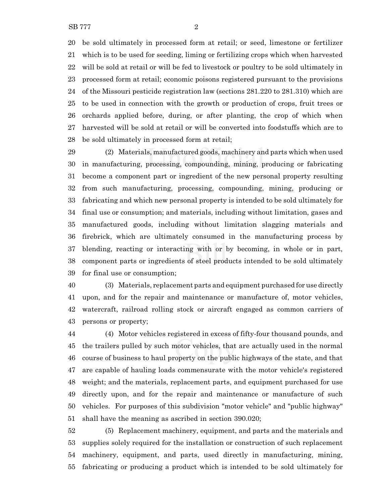be sold ultimately in processed form at retail; or seed, limestone or fertilizer which is to be used for seeding, liming or fertilizing crops which when harvested will be sold at retail or will be fed to livestock or poultry to be sold ultimately in processed form at retail; economic poisons registered pursuant to the provisions of the Missouri pesticide registration law (sections 281.220 to 281.310) which are to be used in connection with the growth or production of crops, fruit trees or orchards applied before, during, or after planting, the crop of which when harvested will be sold at retail or will be converted into foodstuffs which are to be sold ultimately in processed form at retail;

 (2) Materials, manufactured goods, machinery and parts which when used in manufacturing, processing, compounding, mining, producing or fabricating become a component part or ingredient of the new personal property resulting from such manufacturing, processing, compounding, mining, producing or fabricating and which new personal property is intended to be sold ultimately for final use or consumption; and materials, including without limitation, gases and manufactured goods, including without limitation slagging materials and firebrick, which are ultimately consumed in the manufacturing process by blending, reacting or interacting with or by becoming, in whole or in part, component parts or ingredients of steel products intended to be sold ultimately for final use or consumption;

 (3) Materials, replacement parts and equipment purchased for use directly upon, and for the repair and maintenance or manufacture of, motor vehicles, watercraft, railroad rolling stock or aircraft engaged as common carriers of persons or property;

 (4) Motor vehicles registered in excess of fifty-four thousand pounds, and the trailers pulled by such motor vehicles, that are actually used in the normal course of business to haul property on the public highways of the state, and that are capable of hauling loads commensurate with the motor vehicle's registered weight; and the materials, replacement parts, and equipment purchased for use directly upon, and for the repair and maintenance or manufacture of such vehicles. For purposes of this subdivision "motor vehicle" and "public highway" shall have the meaning as ascribed in section 390.020;

 (5) Replacement machinery, equipment, and parts and the materials and supplies solely required for the installation or construction of such replacement machinery, equipment, and parts, used directly in manufacturing, mining, fabricating or producing a product which is intended to be sold ultimately for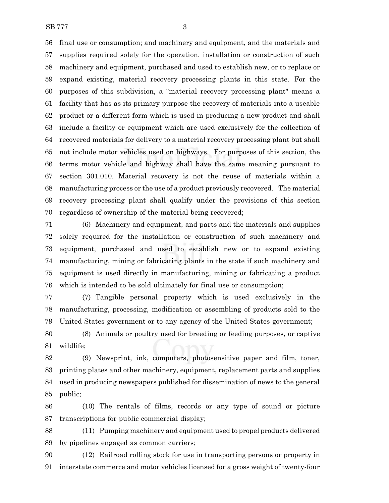final use or consumption; and machinery and equipment, and the materials and supplies required solely for the operation, installation or construction of such machinery and equipment, purchased and used to establish new, or to replace or expand existing, material recovery processing plants in this state. For the purposes of this subdivision, a "material recovery processing plant" means a facility that has as its primary purpose the recovery of materials into a useable product or a different form which is used in producing a new product and shall include a facility or equipment which are used exclusively for the collection of recovered materials for delivery to a material recovery processing plant but shall not include motor vehicles used on highways. For purposes of this section, the terms motor vehicle and highway shall have the same meaning pursuant to section 301.010. Material recovery is not the reuse of materials within a manufacturing process or the use of a product previously recovered. The material recovery processing plant shall qualify under the provisions of this section regardless of ownership of the material being recovered;

 (6) Machinery and equipment, and parts and the materials and supplies solely required for the installation or construction of such machinery and equipment, purchased and used to establish new or to expand existing manufacturing, mining or fabricating plants in the state if such machinery and equipment is used directly in manufacturing, mining or fabricating a product which is intended to be sold ultimately for final use or consumption;

 (7) Tangible personal property which is used exclusively in the manufacturing, processing, modification or assembling of products sold to the United States government or to any agency of the United States government;

 (8) Animals or poultry used for breeding or feeding purposes, or captive wildlife;

 (9) Newsprint, ink, computers, photosensitive paper and film, toner, printing plates and other machinery, equipment, replacement parts and supplies used in producing newspapers published for dissemination of news to the general public;

 (10) The rentals of films, records or any type of sound or picture transcriptions for public commercial display;

 (11) Pumping machinery and equipment used to propel products delivered by pipelines engaged as common carriers;

 (12) Railroad rolling stock for use in transporting persons or property in interstate commerce and motor vehicles licensed for a gross weight of twenty-four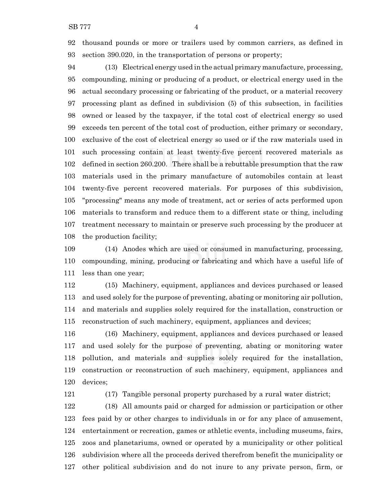thousand pounds or more or trailers used by common carriers, as defined in section 390.020, in the transportation of persons or property;

 (13) Electrical energy used in the actual primary manufacture, processing, compounding, mining or producing of a product, or electrical energy used in the actual secondary processing or fabricating of the product, or a material recovery processing plant as defined in subdivision (5) of this subsection, in facilities owned or leased by the taxpayer, if the total cost of electrical energy so used exceeds ten percent of the total cost of production, either primary or secondary, exclusive of the cost of electrical energy so used or if the raw materials used in such processing contain at least twenty-five percent recovered materials as defined in section 260.200. There shall be a rebuttable presumption that the raw materials used in the primary manufacture of automobiles contain at least twenty-five percent recovered materials. For purposes of this subdivision, "processing" means any mode of treatment, act or series of acts performed upon materials to transform and reduce them to a different state or thing, including treatment necessary to maintain or preserve such processing by the producer at the production facility;

 (14) Anodes which are used or consumed in manufacturing, processing, compounding, mining, producing or fabricating and which have a useful life of less than one year;

 (15) Machinery, equipment, appliances and devices purchased or leased and used solely for the purpose of preventing, abating or monitoring air pollution, and materials and supplies solely required for the installation, construction or reconstruction of such machinery, equipment, appliances and devices;

 (16) Machinery, equipment, appliances and devices purchased or leased and used solely for the purpose of preventing, abating or monitoring water pollution, and materials and supplies solely required for the installation, construction or reconstruction of such machinery, equipment, appliances and devices;

(17) Tangible personal property purchased by a rural water district;

 (18) All amounts paid or charged for admission or participation or other fees paid by or other charges to individuals in or for any place of amusement, entertainment or recreation, games or athletic events, including museums, fairs, zoos and planetariums, owned or operated by a municipality or other political subdivision where all the proceeds derived therefrom benefit the municipality or other political subdivision and do not inure to any private person, firm, or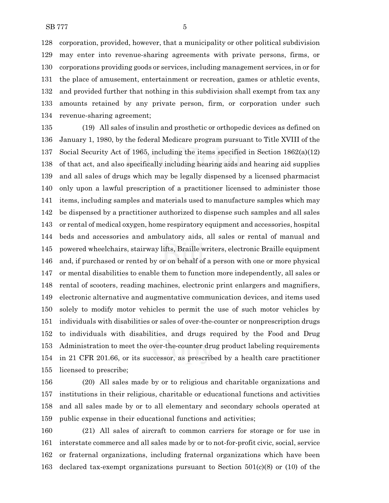corporation, provided, however, that a municipality or other political subdivision may enter into revenue-sharing agreements with private persons, firms, or corporations providing goods or services, including management services, in or for the place of amusement, entertainment or recreation, games or athletic events, and provided further that nothing in this subdivision shall exempt from tax any amounts retained by any private person, firm, or corporation under such revenue-sharing agreement;

 (19) All sales of insulin and prosthetic or orthopedic devices as defined on January 1, 1980, by the federal Medicare program pursuant to Title XVIII of the Social Security Act of 1965, including the items specified in Section 1862(a)(12) of that act, and also specifically including hearing aids and hearing aid supplies and all sales of drugs which may be legally dispensed by a licensed pharmacist only upon a lawful prescription of a practitioner licensed to administer those items, including samples and materials used to manufacture samples which may be dispensed by a practitioner authorized to dispense such samples and all sales or rental of medical oxygen, home respiratory equipment and accessories, hospital beds and accessories and ambulatory aids, all sales or rental of manual and powered wheelchairs, stairway lifts, Braille writers, electronic Braille equipment and, if purchased or rented by or on behalf of a person with one or more physical or mental disabilities to enable them to function more independently, all sales or rental of scooters, reading machines, electronic print enlargers and magnifiers, electronic alternative and augmentative communication devices, and items used solely to modify motor vehicles to permit the use of such motor vehicles by individuals with disabilities or sales of over-the-counter or nonprescription drugs to individuals with disabilities, and drugs required by the Food and Drug Administration to meet the over-the-counter drug product labeling requirements in 21 CFR 201.66, or its successor, as prescribed by a health care practitioner licensed to prescribe;

 (20) All sales made by or to religious and charitable organizations and institutions in their religious, charitable or educational functions and activities and all sales made by or to all elementary and secondary schools operated at public expense in their educational functions and activities;

 (21) All sales of aircraft to common carriers for storage or for use in interstate commerce and all sales made by or to not-for-profit civic, social, service or fraternal organizations, including fraternal organizations which have been declared tax-exempt organizations pursuant to Section 501(c)(8) or (10) of the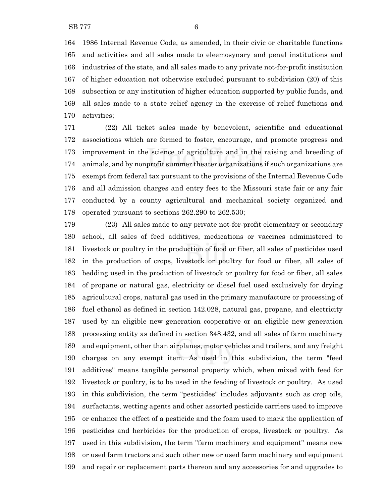1986 Internal Revenue Code, as amended, in their civic or charitable functions and activities and all sales made to eleemosynary and penal institutions and industries of the state, and all sales made to any private not-for-profit institution of higher education not otherwise excluded pursuant to subdivision (20) of this subsection or any institution of higher education supported by public funds, and all sales made to a state relief agency in the exercise of relief functions and activities;

 (22) All ticket sales made by benevolent, scientific and educational associations which are formed to foster, encourage, and promote progress and improvement in the science of agriculture and in the raising and breeding of animals, and by nonprofit summer theater organizations if such organizations are exempt from federal tax pursuant to the provisions of the Internal Revenue Code and all admission charges and entry fees to the Missouri state fair or any fair conducted by a county agricultural and mechanical society organized and operated pursuant to sections 262.290 to 262.530;

 (23) All sales made to any private not-for-profit elementary or secondary school, all sales of feed additives, medications or vaccines administered to livestock or poultry in the production of food or fiber, all sales of pesticides used in the production of crops, livestock or poultry for food or fiber, all sales of bedding used in the production of livestock or poultry for food or fiber, all sales of propane or natural gas, electricity or diesel fuel used exclusively for drying agricultural crops, natural gas used in the primary manufacture or processing of fuel ethanol as defined in section 142.028, natural gas, propane, and electricity used by an eligible new generation cooperative or an eligible new generation processing entity as defined in section 348.432, and all sales of farm machinery and equipment, other than airplanes, motor vehicles and trailers, and any freight charges on any exempt item. As used in this subdivision, the term "feed additives" means tangible personal property which, when mixed with feed for livestock or poultry, is to be used in the feeding of livestock or poultry. As used in this subdivision, the term "pesticides" includes adjuvants such as crop oils, surfactants, wetting agents and other assorted pesticide carriers used to improve or enhance the effect of a pesticide and the foam used to mark the application of pesticides and herbicides for the production of crops, livestock or poultry. As used in this subdivision, the term "farm machinery and equipment" means new or used farm tractors and such other new or used farm machinery and equipment and repair or replacement parts thereon and any accessories for and upgrades to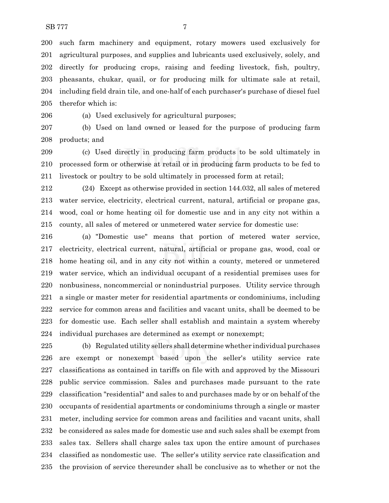such farm machinery and equipment, rotary mowers used exclusively for agricultural purposes, and supplies and lubricants used exclusively, solely, and directly for producing crops, raising and feeding livestock, fish, poultry, pheasants, chukar, quail, or for producing milk for ultimate sale at retail, including field drain tile, and one-half of each purchaser's purchase of diesel fuel therefor which is:

(a) Used exclusively for agricultural purposes;

 (b) Used on land owned or leased for the purpose of producing farm products; and

 (c) Used directly in producing farm products to be sold ultimately in processed form or otherwise at retail or in producing farm products to be fed to livestock or poultry to be sold ultimately in processed form at retail;

 (24) Except as otherwise provided in section 144.032, all sales of metered water service, electricity, electrical current, natural, artificial or propane gas, wood, coal or home heating oil for domestic use and in any city not within a county, all sales of metered or unmetered water service for domestic use:

 (a) "Domestic use" means that portion of metered water service, electricity, electrical current, natural, artificial or propane gas, wood, coal or home heating oil, and in any city not within a county, metered or unmetered water service, which an individual occupant of a residential premises uses for nonbusiness, noncommercial or nonindustrial purposes. Utility service through a single or master meter for residential apartments or condominiums, including service for common areas and facilities and vacant units, shall be deemed to be for domestic use. Each seller shall establish and maintain a system whereby individual purchases are determined as exempt or nonexempt;

 (b) Regulated utility sellers shall determine whether individual purchases are exempt or nonexempt based upon the seller's utility service rate classifications as contained in tariffs on file with and approved by the Missouri public service commission. Sales and purchases made pursuant to the rate classification "residential" and sales to and purchases made by or on behalf of the occupants of residential apartments or condominiums through a single or master meter, including service for common areas and facilities and vacant units, shall be considered as sales made for domestic use and such sales shall be exempt from sales tax. Sellers shall charge sales tax upon the entire amount of purchases classified as nondomestic use. The seller's utility service rate classification and the provision of service thereunder shall be conclusive as to whether or not the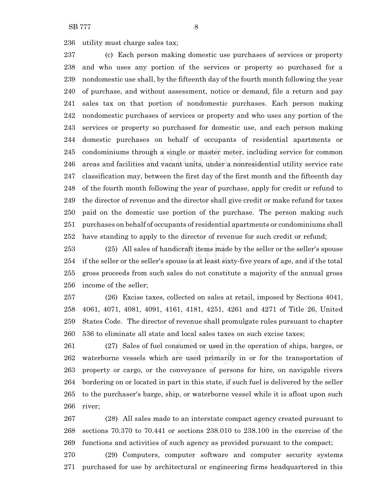utility must charge sales tax;

 (c) Each person making domestic use purchases of services or property and who uses any portion of the services or property so purchased for a nondomestic use shall, by the fifteenth day of the fourth month following the year of purchase, and without assessment, notice or demand, file a return and pay sales tax on that portion of nondomestic purchases. Each person making nondomestic purchases of services or property and who uses any portion of the services or property so purchased for domestic use, and each person making domestic purchases on behalf of occupants of residential apartments or condominiums through a single or master meter, including service for common areas and facilities and vacant units, under a nonresidential utility service rate classification may, between the first day of the first month and the fifteenth day of the fourth month following the year of purchase, apply for credit or refund to the director of revenue and the director shall give credit or make refund for taxes paid on the domestic use portion of the purchase. The person making such purchases on behalf of occupants of residential apartments or condominiums shall have standing to apply to the director of revenue for such credit or refund;

 (25) All sales of handicraft items made by the seller or the seller's spouse if the seller or the seller's spouse is at least sixty-five years of age, and if the total gross proceeds from such sales do not constitute a majority of the annual gross income of the seller;

 (26) Excise taxes, collected on sales at retail, imposed by Sections 4041, 4061, 4071, 4081, 4091, 4161, 4181, 4251, 4261 and 4271 of Title 26, United States Code. The director of revenue shall promulgate rules pursuant to chapter 536 to eliminate all state and local sales taxes on such excise taxes;

 (27) Sales of fuel consumed or used in the operation of ships, barges, or waterborne vessels which are used primarily in or for the transportation of property or cargo, or the conveyance of persons for hire, on navigable rivers bordering on or located in part in this state, if such fuel is delivered by the seller to the purchaser's barge, ship, or waterborne vessel while it is afloat upon such river;

 (28) All sales made to an interstate compact agency created pursuant to sections 70.370 to 70.441 or sections 238.010 to 238.100 in the exercise of the functions and activities of such agency as provided pursuant to the compact;

 (29) Computers, computer software and computer security systems purchased for use by architectural or engineering firms headquartered in this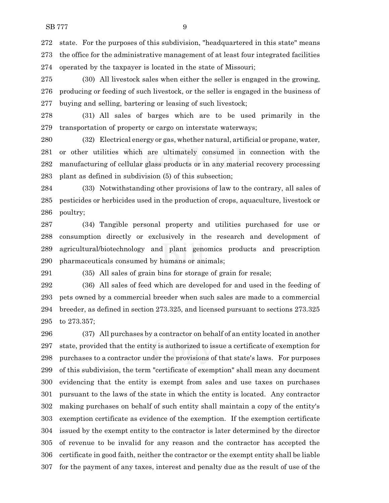state. For the purposes of this subdivision, "headquartered in this state" means the office for the administrative management of at least four integrated facilities operated by the taxpayer is located in the state of Missouri;

 (30) All livestock sales when either the seller is engaged in the growing, producing or feeding of such livestock, or the seller is engaged in the business of buying and selling, bartering or leasing of such livestock;

 (31) All sales of barges which are to be used primarily in the transportation of property or cargo on interstate waterways;

 (32) Electrical energy or gas, whether natural, artificial or propane, water, or other utilities which are ultimately consumed in connection with the manufacturing of cellular glass products or in any material recovery processing plant as defined in subdivision (5) of this subsection;

 (33) Notwithstanding other provisions of law to the contrary, all sales of pesticides or herbicides used in the production of crops, aquaculture, livestock or poultry;

 (34) Tangible personal property and utilities purchased for use or consumption directly or exclusively in the research and development of agricultural/biotechnology and plant genomics products and prescription pharmaceuticals consumed by humans or animals;

(35) All sales of grain bins for storage of grain for resale;

 (36) All sales of feed which are developed for and used in the feeding of pets owned by a commercial breeder when such sales are made to a commercial breeder, as defined in section 273.325, and licensed pursuant to sections 273.325 to 273.357;

 (37) All purchases by a contractor on behalf of an entity located in another state, provided that the entity is authorized to issue a certificate of exemption for purchases to a contractor under the provisions of that state's laws. For purposes of this subdivision, the term "certificate of exemption" shall mean any document evidencing that the entity is exempt from sales and use taxes on purchases pursuant to the laws of the state in which the entity is located. Any contractor making purchases on behalf of such entity shall maintain a copy of the entity's exemption certificate as evidence of the exemption. If the exemption certificate issued by the exempt entity to the contractor is later determined by the director of revenue to be invalid for any reason and the contractor has accepted the certificate in good faith, neither the contractor or the exempt entity shall be liable for the payment of any taxes, interest and penalty due as the result of use of the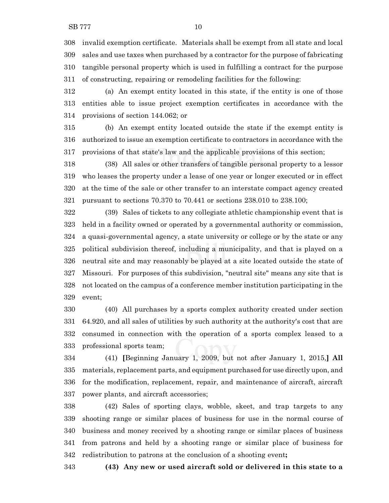invalid exemption certificate. Materials shall be exempt from all state and local sales and use taxes when purchased by a contractor for the purpose of fabricating tangible personal property which is used in fulfilling a contract for the purpose of constructing, repairing or remodeling facilities for the following:

 (a) An exempt entity located in this state, if the entity is one of those entities able to issue project exemption certificates in accordance with the provisions of section 144.062; or

 (b) An exempt entity located outside the state if the exempt entity is authorized to issue an exemption certificate to contractors in accordance with the provisions of that state's law and the applicable provisions of this section;

 (38) All sales or other transfers of tangible personal property to a lessor who leases the property under a lease of one year or longer executed or in effect at the time of the sale or other transfer to an interstate compact agency created pursuant to sections 70.370 to 70.441 or sections 238.010 to 238.100;

 (39) Sales of tickets to any collegiate athletic championship event that is held in a facility owned or operated by a governmental authority or commission, a quasi-governmental agency, a state university or college or by the state or any political subdivision thereof, including a municipality, and that is played on a neutral site and may reasonably be played at a site located outside the state of Missouri. For purposes of this subdivision, "neutral site" means any site that is not located on the campus of a conference member institution participating in the event;

 (40) All purchases by a sports complex authority created under section 64.920, and all sales of utilities by such authority at the authority's cost that are consumed in connection with the operation of a sports complex leased to a professional sports team;

 (41) **[**Beginning January 1, 2009, but not after January 1, 2015,**] All** materials, replacement parts, and equipment purchased for use directly upon, and for the modification, replacement, repair, and maintenance of aircraft, aircraft power plants, and aircraft accessories;

 (42) Sales of sporting clays, wobble, skeet, and trap targets to any shooting range or similar places of business for use in the normal course of business and money received by a shooting range or similar places of business from patrons and held by a shooting range or similar place of business for redistribution to patrons at the conclusion of a shooting event**;**

**(43) Any new or used aircraft sold or delivered in this state to a**